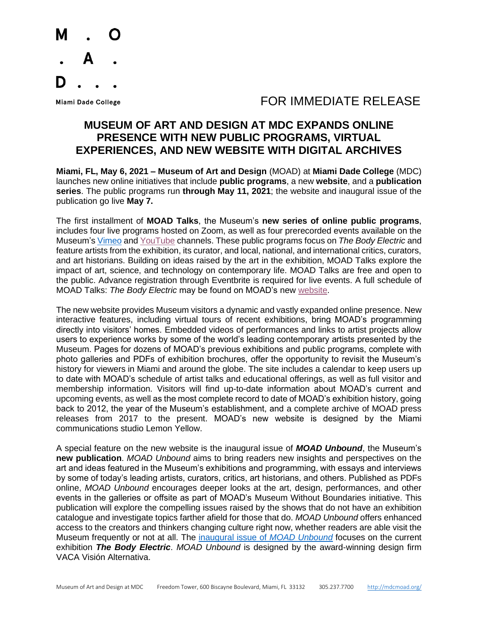

## Miami Dade College The College College College The College The College The College The College The Top Top Top T

## **MUSEUM OF ART AND DESIGN AT MDC EXPANDS ONLINE PRESENCE WITH NEW PUBLIC PROGRAMS, VIRTUAL EXPERIENCES, AND NEW WEBSITE WITH DIGITAL ARCHIVES**

**Miami, FL, May 6, 2021 – Museum of Art and Design** (MOAD) at **Miami Dade College** (MDC) launches new online initiatives that include **public programs**, a new **website**, and a **publication series**. The public programs run **through May 11, 2021**; the website and inaugural issue of the publication go live **May 7.**

The first installment of **MOAD Talks**, the Museum's **new series of online public programs**, includes four live programs hosted on Zoom, as well as four prerecorded events available on the Museum'[s Vimeo](https://vimeo.com/moadmdc) an[d YouTube](https://www.youtube.com/channel/UC2L9Xp2fl5Oi12zgGzAqbww) channels. These public programs focus on *The Body Electric* and feature artists from the exhibition, its curator, and local, national, and international critics, curators, and art historians. Building on ideas raised by the art in the exhibition, MOAD Talks explore the impact of art, science, and technology on contemporary life. MOAD Talks are free and open to the public. Advance registration through Eventbrite is required for live events. A full schedule of MOAD Talks: *The Body Electric* may be found on MOAD's new [website.](https://moadmdc.org/)

The new website provides Museum visitors a dynamic and vastly expanded online presence. New interactive features, including virtual tours of recent exhibitions, bring MOAD's programming directly into visitors' homes. Embedded videos of performances and links to artist projects allow users to experience works by some of the world's leading contemporary artists presented by the Museum. Pages for dozens of MOAD's previous exhibitions and public programs, complete with photo galleries and PDFs of exhibition brochures, offer the opportunity to revisit the Museum's history for viewers in Miami and around the globe. The site includes a calendar to keep users up to date with MOAD's schedule of artist talks and educational offerings, as well as full visitor and membership information. Visitors will find up-to-date information about MOAD's current and upcoming events, as well as the most complete record to date of MOAD's exhibition history, going back to 2012, the year of the Museum's establishment, and a complete archive of MOAD press releases from 2017 to the present. MOAD's new website is designed by the Miami communications studio Lemon Yellow.

A special feature on the new website is the inaugural issue of *MOAD Unbound*, the Museum's **new publication**. *MOAD Unbound* aims to bring readers new insights and perspectives on the art and ideas featured in the Museum's exhibitions and programming, with essays and interviews by some of today's leading artists, curators, critics, art historians, and others. Published as PDFs online, *MOAD Unbound* encourages deeper looks at the art, design, performances, and other events in the galleries or offsite as part of MOAD's [Museum Without Boundaries](http://development.moadmdc.org/about/mwb) initiative. This publication will explore the compelling issues raised by the shows that do not have an exhibition catalogue and investigate topics farther afield for those that do. *MOAD Unbound* offers enhanced access to the creators and thinkers changing culture right now, whether readers are able visit the Museum frequently or not at all. The [inaugural issue of](http://moadmdc.org/learn/moad-unbound-issue-1) *MOAD Unbound* focuses on the current exhibition *The Body Electric*. *MOAD Unbound* is designed by the award-winning design firm VACA Visión Alternativa.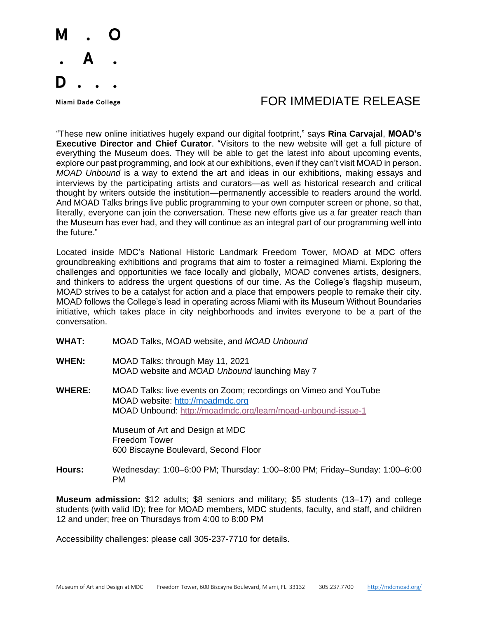

## Miami Dade College The College College College The College The College The College The College The Top Top Top T

"These new online initiatives hugely expand our digital footprint," says **Rina Carvajal**, **MOAD's Executive Director and Chief Curator**. "Visitors to the new website will get a full picture of everything the Museum does. They will be able to get the latest info about upcoming events, explore our past programming, and look at our exhibitions, even if they can't visit MOAD in person. *MOAD Unbound* is a way to extend the art and ideas in our exhibitions, making essays and interviews by the participating artists and curators—as well as historical research and critical thought by writers outside the institution—permanently accessible to readers around the world. And MOAD Talks brings live public programming to your own computer screen or phone, so that, literally, everyone can join the conversation. These new efforts give us a far greater reach than the Museum has ever had, and they will continue as an integral part of our programming well into the future."

Located inside MDC's National Historic Landmark Freedom Tower, MOAD at MDC offers groundbreaking exhibitions and programs that aim to foster a reimagined Miami. Exploring the challenges and opportunities we face locally and globally, MOAD convenes artists, designers, and thinkers to address the urgent questions of our time. As the College's flagship museum, MOAD strives to be a catalyst for action and a place that empowers people to remake their city. MOAD follows the College's lead in operating across Miami with its Museum Without Boundaries initiative, which takes place in city neighborhoods and invites everyone to be a part of the conversation.

- **WHAT:** MOAD Talks, MOAD website, and *MOAD Unbound*
- **WHEN:** MOAD Talks: through May 11, 2021 MOAD website and *MOAD Unbound* launching May 7
- **WHERE:** MOAD Talks: live events on Zoom; recordings on Vimeo and YouTube MOAD website: [http://moadmdc.org](http://moadmdc.org/) MOAD Unbound:<http://moadmdc.org/learn/moad-unbound-issue-1>

Museum of Art and Design at MDC Freedom Tower 600 Biscayne Boulevard, Second Floor

**Hours:** Wednesday: 1:00–6:00 PM; Thursday: 1:00–8:00 PM; Friday–Sunday: 1:00–6:00 PM

**Museum admission:** \$12 adults; \$8 seniors and military; \$5 students (13–17) and college students (with valid ID); free for MOAD members, MDC students, faculty, and staff, and children 12 and under; free on Thursdays from 4:00 to 8:00 PM

Accessibility challenges: please call 305-237-7710 for details.